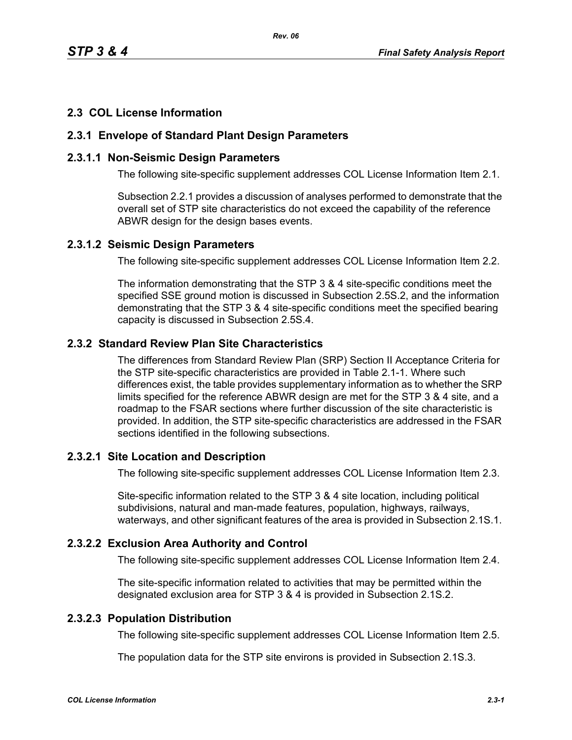### **2.3 COL License Information**

### **2.3.1 Envelope of Standard Plant Design Parameters**

### **2.3.1.1 Non-Seismic Design Parameters**

The following site-specific supplement addresses COL License Information Item 2.1.

Subsection 2.2.1 provides a discussion of analyses performed to demonstrate that the overall set of STP site characteristics do not exceed the capability of the reference ABWR design for the design bases events.

#### **2.3.1.2 Seismic Design Parameters**

The following site-specific supplement addresses COL License Information Item 2.2.

The information demonstrating that the STP 3 & 4 site-specific conditions meet the specified SSE ground motion is discussed in Subsection 2.5S.2, and the information demonstrating that the STP 3 & 4 site-specific conditions meet the specified bearing capacity is discussed in Subsection 2.5S.4.

## **2.3.2 Standard Review Plan Site Characteristics**

The differences from Standard Review Plan (SRP) Section II Acceptance Criteria for the STP site-specific characteristics are provided in Table 2.1-1. Where such differences exist, the table provides supplementary information as to whether the SRP limits specified for the reference ABWR design are met for the STP 3 & 4 site, and a roadmap to the FSAR sections where further discussion of the site characteristic is provided. In addition, the STP site-specific characteristics are addressed in the FSAR sections identified in the following subsections.

### **2.3.2.1 Site Location and Description**

The following site-specific supplement addresses COL License Information Item 2.3.

Site-specific information related to the STP 3 & 4 site location, including political subdivisions, natural and man-made features, population, highways, railways, waterways, and other significant features of the area is provided in Subsection 2.1S.1.

### **2.3.2.2 Exclusion Area Authority and Control**

The following site-specific supplement addresses COL License Information Item 2.4.

The site-specific information related to activities that may be permitted within the designated exclusion area for STP 3 & 4 is provided in Subsection 2.1S.2.

## **2.3.2.3 Population Distribution**

The following site-specific supplement addresses COL License Information Item 2.5.

The population data for the STP site environs is provided in Subsection 2.1S.3.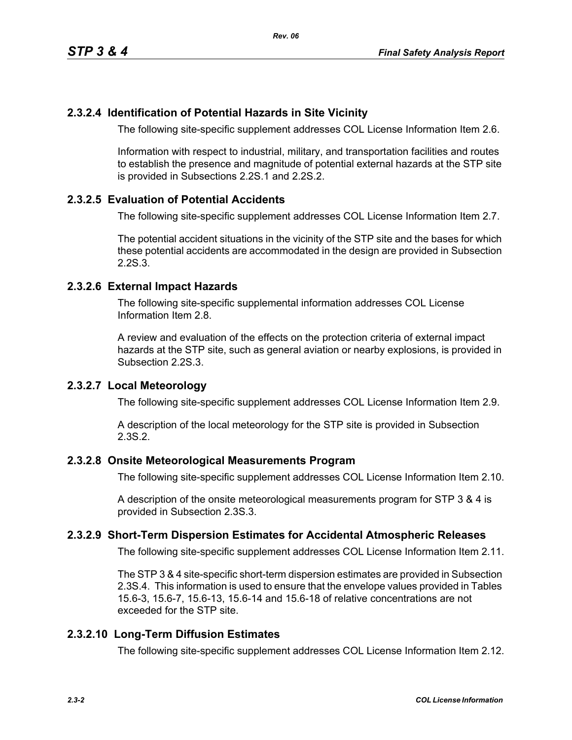### **2.3.2.4 Identification of Potential Hazards in Site Vicinity**

The following site-specific supplement addresses COL License Information Item 2.6.

Information with respect to industrial, military, and transportation facilities and routes to establish the presence and magnitude of potential external hazards at the STP site is provided in Subsections 2.2S.1 and 2.2S.2.

### **2.3.2.5 Evaluation of Potential Accidents**

The following site-specific supplement addresses COL License Information Item 2.7.

The potential accident situations in the vicinity of the STP site and the bases for which these potential accidents are accommodated in the design are provided in Subsection 2.2S.3.

### **2.3.2.6 External Impact Hazards**

The following site-specific supplemental information addresses COL License Information Item 2.8.

A review and evaluation of the effects on the protection criteria of external impact hazards at the STP site, such as general aviation or nearby explosions, is provided in Subsection 2.2S.3.

### **2.3.2.7 Local Meteorology**

The following site-specific supplement addresses COL License Information Item 2.9.

A description of the local meteorology for the STP site is provided in Subsection 2.3S.2.

#### **2.3.2.8 Onsite Meteorological Measurements Program**

The following site-specific supplement addresses COL License Information Item 2.10.

A description of the onsite meteorological measurements program for STP 3 & 4 is provided in Subsection 2.3S.3.

### **2.3.2.9 Short-Term Dispersion Estimates for Accidental Atmospheric Releases**

The following site-specific supplement addresses COL License Information Item 2.11.

The STP 3 & 4 site-specific short-term dispersion estimates are provided in Subsection 2.3S.4. This information is used to ensure that the envelope values provided in Tables 15.6-3, 15.6-7, 15.6-13, 15.6-14 and 15.6-18 of relative concentrations are not exceeded for the STP site.

### **2.3.2.10 Long-Term Diffusion Estimates**

The following site-specific supplement addresses COL License Information Item 2.12.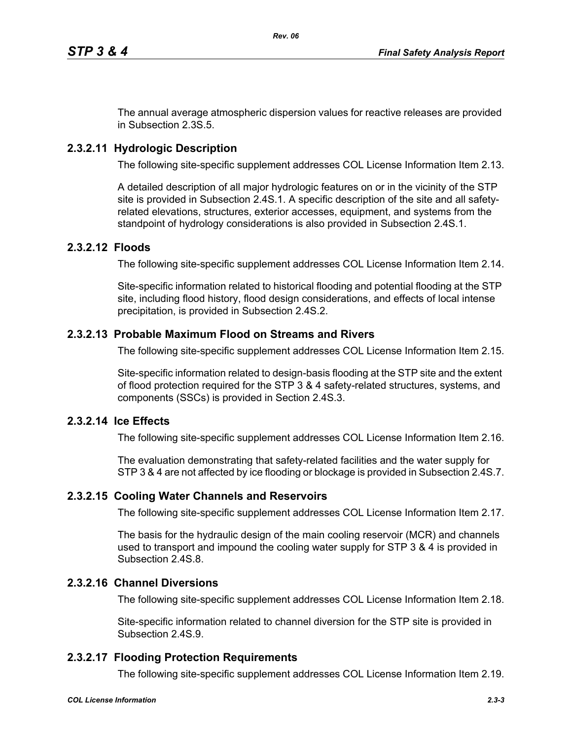The annual average atmospheric dispersion values for reactive releases are provided in Subsection 2.3S.5.

## **2.3.2.11 Hydrologic Description**

The following site-specific supplement addresses COL License Information Item 2.13.

A detailed description of all major hydrologic features on or in the vicinity of the STP site is provided in Subsection 2.4S.1. A specific description of the site and all safetyrelated elevations, structures, exterior accesses, equipment, and systems from the standpoint of hydrology considerations is also provided in Subsection 2.4S.1.

### **2.3.2.12 Floods**

The following site-specific supplement addresses COL License Information Item 2.14.

Site-specific information related to historical flooding and potential flooding at the STP site, including flood history, flood design considerations, and effects of local intense precipitation, is provided in Subsection 2.4S.2.

### **2.3.2.13 Probable Maximum Flood on Streams and Rivers**

The following site-specific supplement addresses COL License Information Item 2.15.

Site-specific information related to design-basis flooding at the STP site and the extent of flood protection required for the STP 3 & 4 safety-related structures, systems, and components (SSCs) is provided in Section 2.4S.3.

### **2.3.2.14 Ice Effects**

The following site-specific supplement addresses COL License Information Item 2.16.

The evaluation demonstrating that safety-related facilities and the water supply for STP 3 & 4 are not affected by ice flooding or blockage is provided in Subsection 2.4S.7.

#### **2.3.2.15 Cooling Water Channels and Reservoirs**

The following site-specific supplement addresses COL License Information Item 2.17.

The basis for the hydraulic design of the main cooling reservoir (MCR) and channels used to transport and impound the cooling water supply for STP 3 & 4 is provided in Subsection 2.4S.8.

# **2.3.2.16 Channel Diversions**

The following site-specific supplement addresses COL License Information Item 2.18.

Site-specific information related to channel diversion for the STP site is provided in Subsection 2.4S.9.

# **2.3.2.17 Flooding Protection Requirements**

The following site-specific supplement addresses COL License Information Item 2.19.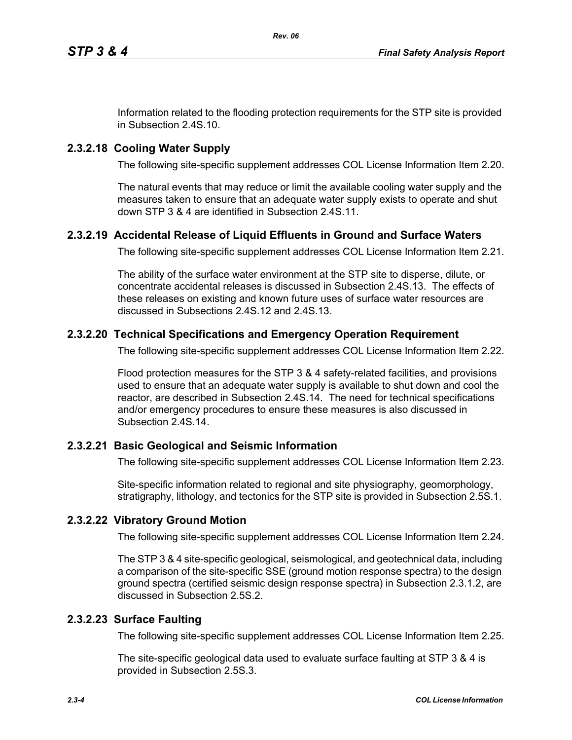Information related to the flooding protection requirements for the STP site is provided in Subsection 2.4S.10.

## **2.3.2.18 Cooling Water Supply**

The following site-specific supplement addresses COL License Information Item 2.20.

The natural events that may reduce or limit the available cooling water supply and the measures taken to ensure that an adequate water supply exists to operate and shut down STP 3 & 4 are identified in Subsection 2.4S.11.

## **2.3.2.19 Accidental Release of Liquid Effluents in Ground and Surface Waters**

The following site-specific supplement addresses COL License Information Item 2.21.

The ability of the surface water environment at the STP site to disperse, dilute, or concentrate accidental releases is discussed in Subsection 2.4S.13. The effects of these releases on existing and known future uses of surface water resources are discussed in Subsections 2.4S.12 and 2.4S.13.

### **2.3.2.20 Technical Specifications and Emergency Operation Requirement**

The following site-specific supplement addresses COL License Information Item 2.22.

Flood protection measures for the STP 3 & 4 safety-related facilities, and provisions used to ensure that an adequate water supply is available to shut down and cool the reactor, are described in Subsection 2.4S.14. The need for technical specifications and/or emergency procedures to ensure these measures is also discussed in Subsection 2.4S.14.

### **2.3.2.21 Basic Geological and Seismic Information**

The following site-specific supplement addresses COL License Information Item 2.23.

Site-specific information related to regional and site physiography, geomorphology, stratigraphy, lithology, and tectonics for the STP site is provided in Subsection 2.5S.1.

### **2.3.2.22 Vibratory Ground Motion**

The following site-specific supplement addresses COL License Information Item 2.24.

The STP 3 & 4 site-specific geological, seismological, and geotechnical data, including a comparison of the site-specific SSE (ground motion response spectra) to the design ground spectra (certified seismic design response spectra) in Subsection 2.3.1.2, are discussed in Subsection 2.5S.2.

### **2.3.2.23 Surface Faulting**

The following site-specific supplement addresses COL License Information Item 2.25.

The site-specific geological data used to evaluate surface faulting at STP 3 & 4 is provided in Subsection 2.5S.3.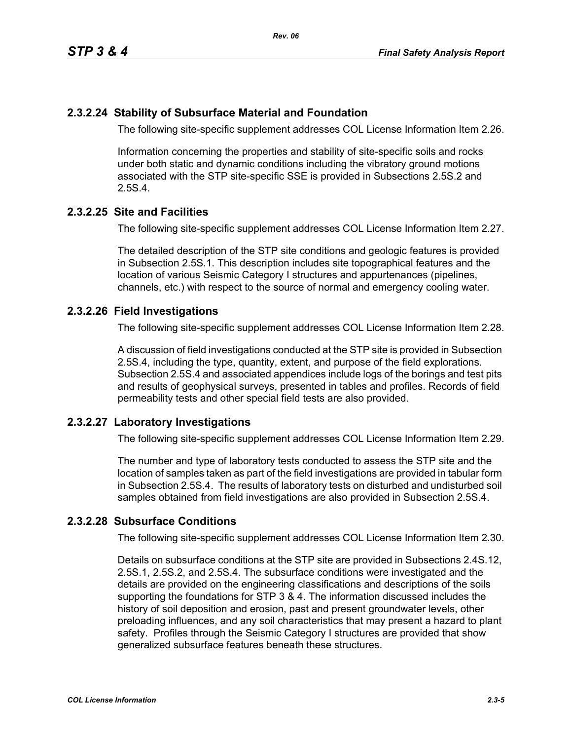### **2.3.2.24 Stability of Subsurface Material and Foundation**

The following site-specific supplement addresses COL License Information Item 2.26.

Information concerning the properties and stability of site-specific soils and rocks under both static and dynamic conditions including the vibratory ground motions associated with the STP site-specific SSE is provided in Subsections 2.5S.2 and 2.5S.4.

### **2.3.2.25 Site and Facilities**

The following site-specific supplement addresses COL License Information Item 2.27.

The detailed description of the STP site conditions and geologic features is provided in Subsection 2.5S.1. This description includes site topographical features and the location of various Seismic Category I structures and appurtenances (pipelines, channels, etc.) with respect to the source of normal and emergency cooling water.

### **2.3.2.26 Field Investigations**

The following site-specific supplement addresses COL License Information Item 2.28.

A discussion of field investigations conducted at the STP site is provided in Subsection 2.5S.4, including the type, quantity, extent, and purpose of the field explorations. Subsection 2.5S.4 and associated appendices include logs of the borings and test pits and results of geophysical surveys, presented in tables and profiles. Records of field permeability tests and other special field tests are also provided.

### **2.3.2.27 Laboratory Investigations**

The following site-specific supplement addresses COL License Information Item 2.29.

The number and type of laboratory tests conducted to assess the STP site and the location of samples taken as part of the field investigations are provided in tabular form in Subsection 2.5S.4. The results of laboratory tests on disturbed and undisturbed soil samples obtained from field investigations are also provided in Subsection 2.5S.4.

## **2.3.2.28 Subsurface Conditions**

The following site-specific supplement addresses COL License Information Item 2.30.

Details on subsurface conditions at the STP site are provided in Subsections 2.4S.12, 2.5S.1, 2.5S.2, and 2.5S.4. The subsurface conditions were investigated and the details are provided on the engineering classifications and descriptions of the soils supporting the foundations for STP 3 & 4. The information discussed includes the history of soil deposition and erosion, past and present groundwater levels, other preloading influences, and any soil characteristics that may present a hazard to plant safety. Profiles through the Seismic Category I structures are provided that show generalized subsurface features beneath these structures.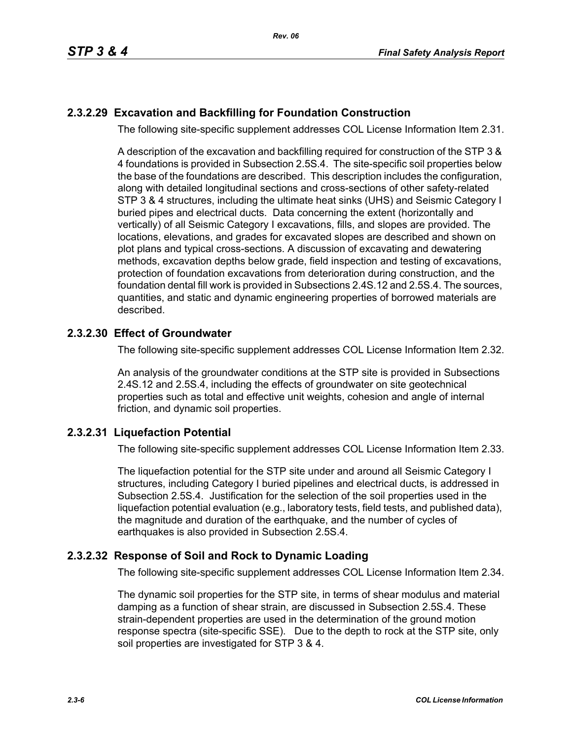## **2.3.2.29 Excavation and Backfilling for Foundation Construction**

The following site-specific supplement addresses COL License Information Item 2.31.

A description of the excavation and backfilling required for construction of the STP 3 & 4 foundations is provided in Subsection 2.5S.4. The site-specific soil properties below the base of the foundations are described. This description includes the configuration, along with detailed longitudinal sections and cross-sections of other safety-related STP 3 & 4 structures, including the ultimate heat sinks (UHS) and Seismic Category I buried pipes and electrical ducts. Data concerning the extent (horizontally and vertically) of all Seismic Category I excavations, fills, and slopes are provided. The locations, elevations, and grades for excavated slopes are described and shown on plot plans and typical cross-sections. A discussion of excavating and dewatering methods, excavation depths below grade, field inspection and testing of excavations, protection of foundation excavations from deterioration during construction, and the foundation dental fill work is provided in Subsections 2.4S.12 and 2.5S.4. The sources, quantities, and static and dynamic engineering properties of borrowed materials are described.

### **2.3.2.30 Effect of Groundwater**

The following site-specific supplement addresses COL License Information Item 2.32.

An analysis of the groundwater conditions at the STP site is provided in Subsections 2.4S.12 and 2.5S.4, including the effects of groundwater on site geotechnical properties such as total and effective unit weights, cohesion and angle of internal friction, and dynamic soil properties.

### **2.3.2.31 Liquefaction Potential**

The following site-specific supplement addresses COL License Information Item 2.33.

The liquefaction potential for the STP site under and around all Seismic Category I structures, including Category I buried pipelines and electrical ducts, is addressed in Subsection 2.5S.4. Justification for the selection of the soil properties used in the liquefaction potential evaluation (e.g., laboratory tests, field tests, and published data), the magnitude and duration of the earthquake, and the number of cycles of earthquakes is also provided in Subsection 2.5S.4.

### **2.3.2.32 Response of Soil and Rock to Dynamic Loading**

The following site-specific supplement addresses COL License Information Item 2.34.

The dynamic soil properties for the STP site, in terms of shear modulus and material damping as a function of shear strain, are discussed in Subsection 2.5S.4. These strain-dependent properties are used in the determination of the ground motion response spectra (site-specific SSE). Due to the depth to rock at the STP site, only soil properties are investigated for STP 3 & 4.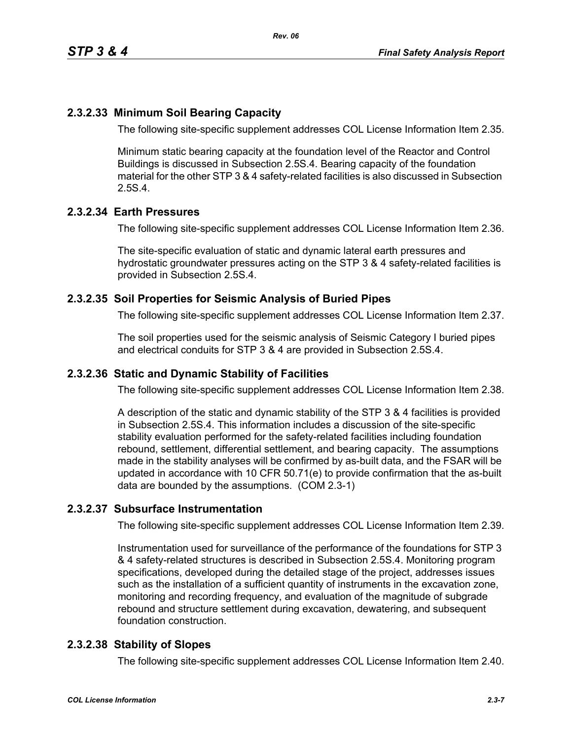### **2.3.2.33 Minimum Soil Bearing Capacity**

The following site-specific supplement addresses COL License Information Item 2.35.

Minimum static bearing capacity at the foundation level of the Reactor and Control Buildings is discussed in Subsection 2.5S.4. Bearing capacity of the foundation material for the other STP 3 & 4 safety-related facilities is also discussed in Subsection 2.5S.4.

### **2.3.2.34 Earth Pressures**

The following site-specific supplement addresses COL License Information Item 2.36.

The site-specific evaluation of static and dynamic lateral earth pressures and hydrostatic groundwater pressures acting on the STP 3 & 4 safety-related facilities is provided in Subsection 2.5S.4.

### **2.3.2.35 Soil Properties for Seismic Analysis of Buried Pipes**

The following site-specific supplement addresses COL License Information Item 2.37.

The soil properties used for the seismic analysis of Seismic Category I buried pipes and electrical conduits for STP 3 & 4 are provided in Subsection 2.5S.4.

### **2.3.2.36 Static and Dynamic Stability of Facilities**

The following site-specific supplement addresses COL License Information Item 2.38.

A description of the static and dynamic stability of the STP 3 & 4 facilities is provided in Subsection 2.5S.4. This information includes a discussion of the site-specific stability evaluation performed for the safety-related facilities including foundation rebound, settlement, differential settlement, and bearing capacity. The assumptions made in the stability analyses will be confirmed by as-built data, and the FSAR will be updated in accordance with 10 CFR 50.71(e) to provide confirmation that the as-built data are bounded by the assumptions. (COM 2.3-1)

#### **2.3.2.37 Subsurface Instrumentation**

The following site-specific supplement addresses COL License Information Item 2.39.

Instrumentation used for surveillance of the performance of the foundations for STP 3 & 4 safety-related structures is described in Subsection 2.5S.4. Monitoring program specifications, developed during the detailed stage of the project, addresses issues such as the installation of a sufficient quantity of instruments in the excavation zone, monitoring and recording frequency, and evaluation of the magnitude of subgrade rebound and structure settlement during excavation, dewatering, and subsequent foundation construction.

#### **2.3.2.38 Stability of Slopes**

The following site-specific supplement addresses COL License Information Item 2.40.